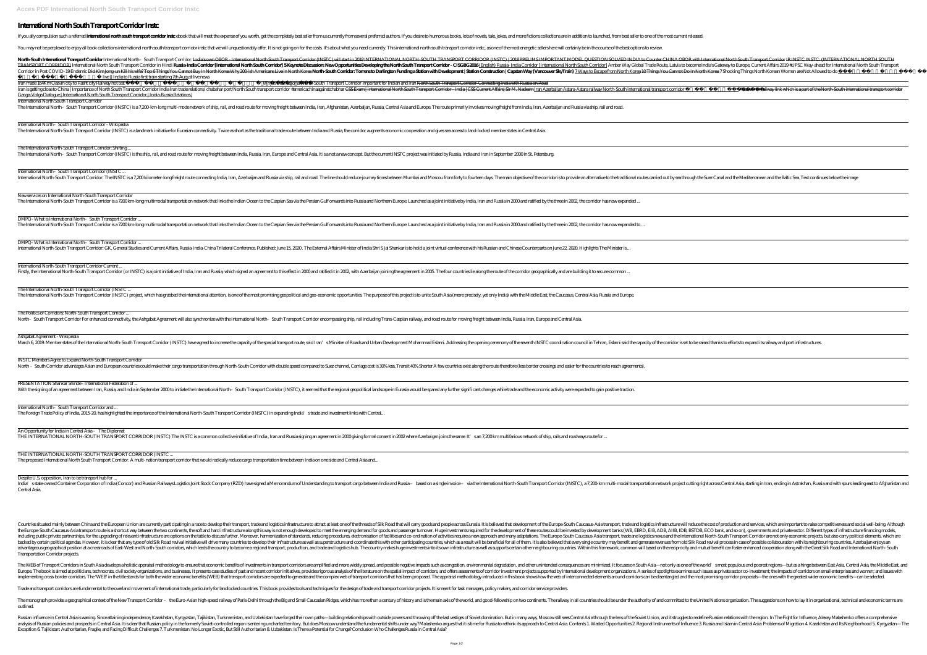## **International North South Transport Corridor Instc**

If you ally compulsion such a referred international north south transport conridor instc ebook that will meet the expense of you worth, get the completely best seller from us currently from several preferred authors. If y

You may not be perplexed to enjoy all book collections international north south transport corridor instc that we will unquestionably offer. It is not going on for the costs. It's about what you need currently. This intern

North South International Transport Conidor International North-South Transport Corridor. I<del>ndia's own OBOR - International North South Transport Corridor (INSTC) will start in 2018 INTERNATIONAL NORTH-SOUTH TRANSPORT CORR</del> TRANSPORT CORRIDOR) International North South Transport Corridor in Hindi Russia India Corridor [International North South Corridor] 5Keynote Discussion: NewOpportunities Developing the North South Transport Corridor - CIS Corridor in Post COVID-19Endemic<del>Did Kim Jong-un Kill his wife?Top 6Things You Cannot Buy In North Korea Why 200 ish Americans Live in North Korea No**rth Korea North Korea North Korea North Korea North Korea North Korea No</del>** live || India to Russia first train starting 7th August live news

Iran is getting close to China | Importance of North South Transport Corridor India Iran trade relations/ chabahar port/North South transport corridor #mericachinaagainstchabhar <del>CSS Exam | International North South Transp</del> Ganga-Volga Dialogue | International North South Transport Corridor | India-Russia Relations | International North South Transport Corridor

The International North- South Transport Corridor (INSTC) is a 7,200 km-long multi-mode network of ship, rail, and road route for moving freight between India, Iran, Afghanistan, Azerbaijan, Russia, Central Asia and Europe

International North–South Transport Corridor - Wikipedia The International North-South Transport Corridor (INSTC) is a landmark initiative for Eurasian connectivity. Twice as short as the traditional trade route between India and Russia, the corridor augments economic cooperatio

The International North-South Transport Corridor: Shifting ... The International North- South Transport Corridor (INSTC) is the ship, rail, and road route for moving freight between India, Russia, Iran, Europe and Central Asia. It is a not a new concept. But the current INSTC project

International North–South Transport Corridor (INSTC. International North-South Transport Corridor. The INSTC is a 7,200 kilometer-long freight route connecting India, Iran, Azerbaijan and Russia via ship, rail and road. The line should reduce journey times between Mumbai and

New services on International North-South Transport Corridor The International North-South Transport Corridor is a 7200km-long multimodal transportation network that links the Indian Ocean to the Caspian Sea via the Persian Gulf onwards into Russia and Northern Europe. Launched as a

DMPQ- What is International North–South Transport Corridor ... The International North-South Transport Corridor is a 7200 km-long multimodal transportation network that links the Indian Ocean to the Caspian Sea via the Persian Gulf onwards into Russia and Northern Europe. Launched as

The Politics of Corridors: North-South Transport Corridor ... North- South Transport Corridor For enhanced connectivity, the Ashgabat Agreement will also synchronize with the International North- South Transport Corridor encompassing ship, rail including Trans-Caspian railway, and ro

INSTC Members Agree to Expand North-South Transport Corridor North – South Corridor advantages Asian and European countries could make their cargo transportation through North-South Corridor with double speed compared to Suez channel, Carriage cost is 30% less. Transit 40% Shorter A

PRESENTATION Shankar Shinde - International Federation of With the signing of an agreement between Iran, Russia, and India in September 2000 to initiate the International North- South Transport Corridor (INSTC), it seemed that the regional geopolitical landscape in Eurasia would

India' satate-owned Container Corporation of India (Concor) and Russian Railways Logistics Joint Stock Company (RZD) have signed a Memorandum of Understanding to transport cargo between India and Russia – based on a single Central Asia.

DMPQ- What is International North–South Transport Corridor ...

International North-South Transport Corridor: GK, General Studies and Current Affairs. Russia-India-China Trilateral Conference. Published: June 15, 2020. The External Affairs Minister of India Shri S. Jai Shankar is to ho

International North-South Transport Corridor Current ...

Firstly, the International North-South Transport Corridor (or INSTC) is a joint initiative of India, Iran and Russia, which signed an agreement to this effect in 2002 md ratified it in 2002, with Azerbaijan joining the agr

Countries situated mainly between China and the European Union are currently participating in a race to develop their transport, trade and logistics infrastructure to attract at least one of the threads of Silk Road that w the Europe-South Caucasus-Asia transport route is a shortcut way between the two continents, the soft and hard infrastructure along this way is not enough developed to meet the emerging demand for goods and passenger turno including public private partnerships, for the upgrading of relevant infrastructure are options on the table to discuss further. Moreover, harmonization of standards, reducing procedures, electronisation of activities requ backed by certain political agendas. However, it is clear that any type of old Silk Road revival initiative will drive many countries to develop their infrastructure as well as superstructure and coordinate this with other advantageous geographical position at a crossroads of East-West and North-South corridors, which leads the country to become a regional transport, production, and trade and logistics hub. The country makes huge investments Transportation Corridor projects.

The WEB of Transport Corridors in South Asia develops a holistic appraisal methodology to ensure that economic benefits of investments in transport corridors are amplified and more widely spread, and possible negative impa Europe. The book is aimed at politicians, technocrats, civil society organizations, and businesses. It presents case studies of past and recent corridor initiatives, provides rigorous analysis of the literature on the spat implementing cross-border corridors. The 'WEB' in the title stands for both the wider economic benefits (WEB) that transport corridors are expected to generate and the complex web of interconnected elements around corridor

Trade and transport corridors are fundamental to the overland movement of international trade, particularly for landlocked countries. This book provides tools and techniques for the design of trade and transport corridor p

The International North-South Transport Corridor (INSTC ...

The International North-South Transport Corridor (INSTC) project, which has grabbed the international attention, is one of the most promising geopolitical and geo-economic opportunities. The purpose of this project is to u

Ashgabat Agreement - Wikipedia

March 6, 2019. Member states of the International North-South Transport Corridor (INSTC) have agreed to increase the capacity of the special transport route, said Iran's Minister of Roads and Urban Development Mohammad Esl

The monograph provides a geographical context of the New Transport Corridor – the Euro-Asian high-speed railway of Paris-Delhi through the Big and Small Caucasian Ridges, which has more than a century of history and is the outlined.

Russian influence in Central Asia is waning, Since attaining independence, Kazakhstan, Kyrgyzstan, Tajikistan, Tajikistan, Turkmenistan, and Uzbekistan have forged their own paths—building relationships with outside powers analysis of Russian policies and prospects in Central Asia. It is clear that Russian policy in the formerly Soviet-controlled region is entering uncharted territory. But does Moscow understand the fundamental shifts under Exception 6 Tajikistan: Authoritarian, Fragle, and Facing Difficult Challenges 7. Turkmenistan: No Longer Exotic, But Still Authoritarian 8 Uzbekistan: Is There a Potential for Change? Conclusion Who Challenges Russia in C

Iran made 164Km Qazvin city to Rasht city Railway hot test Why is International North-South Transport Corridor important for Indian and Iran <del>North South Transport Corridor-Connecting India with Russia on Road</del>

THE INTERNATIONAL NORTH-SOUTH TRANSPORT CORRIDOR (INSTC) The INSTC is a common collective initiative of India, Iran and Russia signing an agreement in 2002 giving formal consent in 2002 where Azerbaigan joins the same. It'

International North–South Transport Corridor and ... The Foreign Trade Policy of India, 2015-20, has highlighted the importance of the International North-South Transport Corridor (INSTC) in expanding India's trade and investment links with Central...

An Opportunity for India in Central Asia – The Diplomat

THE INTERNATIONAL NORTH-SOUTH TRANSPORT CORRIDOR (INSTC ...

The proposed International North South Transport Corridor. A multi-nation transport corridor that would radically reduce cargo transportation time between India on one side and Central Asia and...

Despite U.S. opposition, Iran to be transport hub for ...

| h International North South Transport Corridor IR INSTC INSTC: (INTERNATIONAL NORTH SOUTH | e India's Gateway to Europe, Current Affairs 2019 #UPSC Way-ahead for International North South Transport<br>orth Korea 7Shocking Things North Korean Women are Not Allowed to do |
|-------------------------------------------------------------------------------------------|-----------------------------------------------------------------------------------------------------------------------------------------------------------------------------------|
|                                                                                           |                                                                                                                                                                                   |
|                                                                                           | Astara-Iran railway link which is a part of the North-South international transport corridor                                                                                      |
|                                                                                           |                                                                                                                                                                                   |
|                                                                                           |                                                                                                                                                                                   |
|                                                                                           |                                                                                                                                                                                   |
|                                                                                           |                                                                                                                                                                                   |
|                                                                                           |                                                                                                                                                                                   |
|                                                                                           |                                                                                                                                                                                   |
|                                                                                           | he Suez Canal and the Mediterranean and the Baltic Sea. Text continues below the image                                                                                            |
|                                                                                           |                                                                                                                                                                                   |
|                                                                                           |                                                                                                                                                                                   |
|                                                                                           |                                                                                                                                                                                   |
|                                                                                           |                                                                                                                                                                                   |
|                                                                                           |                                                                                                                                                                                   |
|                                                                                           |                                                                                                                                                                                   |
|                                                                                           |                                                                                                                                                                                   |
|                                                                                           |                                                                                                                                                                                   |
|                                                                                           |                                                                                                                                                                                   |
|                                                                                           |                                                                                                                                                                                   |
|                                                                                           |                                                                                                                                                                                   |
|                                                                                           |                                                                                                                                                                                   |
| raised thanks to efforts to expand its railway and port infrastructures.                  |                                                                                                                                                                                   |
|                                                                                           |                                                                                                                                                                                   |
|                                                                                           |                                                                                                                                                                                   |
|                                                                                           |                                                                                                                                                                                   |
|                                                                                           |                                                                                                                                                                                   |
|                                                                                           |                                                                                                                                                                                   |
|                                                                                           |                                                                                                                                                                                   |
|                                                                                           |                                                                                                                                                                                   |
|                                                                                           |                                                                                                                                                                                   |
|                                                                                           |                                                                                                                                                                                   |
|                                                                                           |                                                                                                                                                                                   |
|                                                                                           | right across Central Asia, starting in Iran, ending in Astrakhan, Russia and with spurs leading east to Afghanistan and                                                           |
|                                                                                           |                                                                                                                                                                                   |
|                                                                                           |                                                                                                                                                                                   |
|                                                                                           |                                                                                                                                                                                   |